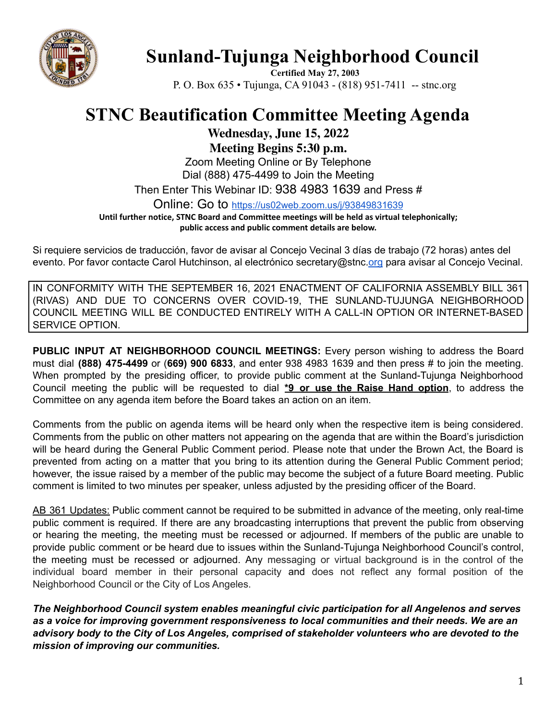

## **Sunland-Tujunga Neighborhood Council**

**Certified May 27, 2003** P. O. Box 635 • Tujunga, CA 91043 - (818) 951-7411 -- stnc.org

## **STNC Beautification Committee Meeting Agenda**

**Wednesday, June 15, 2022**

**Meeting Begins 5:30 p.m.**

Zoom Meeting Online or By Telephone Dial (888) 475-4499 to Join the Meeting

Then Enter This Webinar ID: 938 4983 1639 and Press #

Online: Go to <https://us02web.zoom.us/j/93849831639>

**Until further notice, STNC Board and Committee meetings will be held as virtual telephonically; public access and public comment details are below.**

Si requiere servicios de traducción, favor de avisar al Concejo Vecinal 3 días de trabajo (72 horas) antes del evento. Por favor contacte Carol Hutchinson, al electrónico secretary@stnc[.org](mailto:XXX@NeighborhoodCouncil.org) para avisar al Concejo Vecinal.

IN CONFORMITY WITH THE SEPTEMBER 16, 2021 ENACTMENT OF CALIFORNIA ASSEMBLY BILL 361 (RIVAS) AND DUE TO CONCERNS OVER COVID-19, THE SUNLAND-TUJUNGA NEIGHBORHOOD COUNCIL MEETING WILL BE CONDUCTED ENTIRELY WITH A CALL-IN OPTION OR INTERNET-BASED SERVICE OPTION.

**PUBLIC INPUT AT NEIGHBORHOOD COUNCIL MEETINGS:** Every person wishing to address the Board must dial **(888) 475-4499** or (**669) 900 6833**, and enter 938 4983 1639 and then press # to join the meeting. When prompted by the presiding officer, to provide public comment at the Sunland-Tujunga Neighborhood Council meeting the public will be requested to dial **\*9 or use the Raise Hand option**, to address the Committee on any agenda item before the Board takes an action on an item.

Comments from the public on agenda items will be heard only when the respective item is being considered. Comments from the public on other matters not appearing on the agenda that are within the Board's jurisdiction will be heard during the General Public Comment period. Please note that under the Brown Act, the Board is prevented from acting on a matter that you bring to its attention during the General Public Comment period; however, the issue raised by a member of the public may become the subject of a future Board meeting. Public comment is limited to two minutes per speaker, unless adjusted by the presiding officer of the Board.

AB 361 Updates: Public comment cannot be required to be submitted in advance of the meeting, only real-time public comment is required. If there are any broadcasting interruptions that prevent the public from observing or hearing the meeting, the meeting must be recessed or adjourned. If members of the public are unable to provide public comment or be heard due to issues within the Sunland-Tujunga Neighborhood Council's control, the meeting must be recessed or adjourned. Any messaging or virtual background is in the control of the individual board member in their personal capacity and does not reflect any formal position of the Neighborhood Council or the City of Los Angeles.

*The Neighborhood Council system enables meaningful civic participation for all Angelenos and serves as a voice for improving government responsiveness to local communities and their needs. We are an advisory body to the City of Los Angeles, comprised of stakeholder volunteers who are devoted to the mission of improving our communities.*